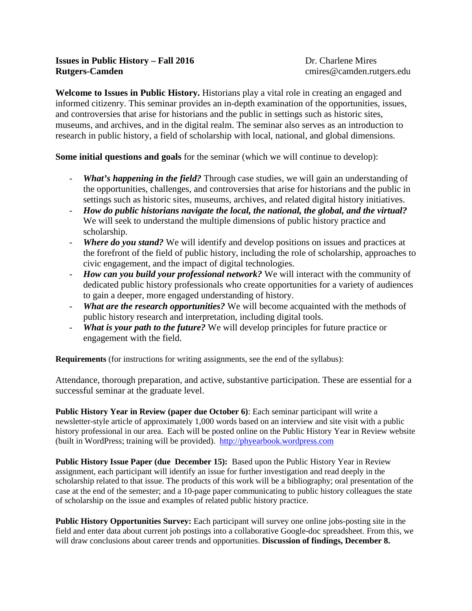# **Issues in Public History – Fall 2016** Dr. Charlene Mires **Rutgers-Camden** cmires @camden.rutgers.edu

**Welcome to Issues in Public History.** Historians play a vital role in creating an engaged and informed citizenry. This seminar provides an in-depth examination of the opportunities, issues, and controversies that arise for historians and the public in settings such as historic sites, museums, and archives, and in the digital realm. The seminar also serves as an introduction to research in public history, a field of scholarship with local, national, and global dimensions.

**Some initial questions and goals** for the seminar (which we will continue to develop):

- *What's happening in the field?* Through case studies, we will gain an understanding of the opportunities, challenges, and controversies that arise for historians and the public in settings such as historic sites, museums, archives, and related digital history initiatives.
- *How do public historians navigate the local, the national, the global, and the virtual?* We will seek to understand the multiple dimensions of public history practice and scholarship.
- *Where do you stand?* We will identify and develop positions on issues and practices at the forefront of the field of public history, including the role of scholarship, approaches to civic engagement, and the impact of digital technologies.
- *How can you build your professional network?* We will interact with the community of dedicated public history professionals who create opportunities for a variety of audiences to gain a deeper, more engaged understanding of history.
- *What are the research opportunities?* We will become acquainted with the methods of public history research and interpretation, including digital tools.
- *What is your path to the future?* We will develop principles for future practice or engagement with the field.

**Requirements** (for instructions for writing assignments, see the end of the syllabus):

Attendance, thorough preparation, and active, substantive participation. These are essential for a successful seminar at the graduate level.

**Public History Year in Review (paper due October 6)**: Each seminar participant will write a newsletter-style article of approximately 1,000 words based on an interview and site visit with a public history professional in our area. Each will be posted online on the Public History Year in Review website (built in WordPress; training will be provided). [http://phyearbook.wordpress.com](http://phyearbook.wordpress.com/)

**Public History Issue Paper (due December 15):** Based upon the Public History Year in Review assignment, each participant will identify an issue for further investigation and read deeply in the scholarship related to that issue. The products of this work will be a bibliography; oral presentation of the case at the end of the semester; and a 10-page paper communicating to public history colleagues the state of scholarship on the issue and examples of related public history practice.

**Public History Opportunities Survey:** Each participant will survey one online jobs-posting site in the field and enter data about current job postings into a collaborative Google-doc spreadsheet. From this, we will draw conclusions about career trends and opportunities. **Discussion of findings, December 8.**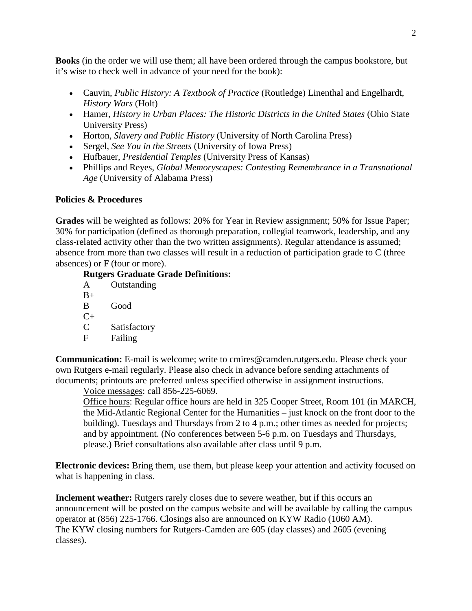**Books** (in the order we will use them; all have been ordered through the campus bookstore, but it's wise to check well in advance of your need for the book):

- Cauvin, *Public History: A Textbook of Practice* (Routledge) Linenthal and Engelhardt, *History Wars* (Holt)
- Hamer, *History in Urban Places: The Historic Districts in the United States* (Ohio State University Press)
- Horton, *Slavery and Public History* (University of North Carolina Press)
- Sergel, *See You in the Streets* (University of Iowa Press)
- Hufbauer, *Presidential Temples* (University Press of Kansas)
- Phillips and Reyes, *Global Memoryscapes: Contesting Remembrance in a Transnational Age* (University of Alabama Press)

# **Policies & Procedures**

**Grades** will be weighted as follows: 20% for Year in Review assignment; 50% for Issue Paper; 30% for participation (defined as thorough preparation, collegial teamwork, leadership, and any class-related activity other than the two written assignments). Regular attendance is assumed; absence from more than two classes will result in a reduction of participation grade to C (three absences) or F (four or more).

## **Rutgers Graduate Grade Definitions:**

| A    | Outstanding  |
|------|--------------|
| $B+$ |              |
| B    | Good         |
| $C+$ |              |
| C    | Satisfactory |
| F    | Failing      |
|      |              |

**Communication:** E-mail is welcome; write to cmires@camden.rutgers.edu. Please check your own Rutgers e-mail regularly. Please also check in advance before sending attachments of documents; printouts are preferred unless specified otherwise in assignment instructions.

Voice messages: call 856-225-6069.

Office hours: Regular office hours are held in 325 Cooper Street, Room 101 (in MARCH, the Mid-Atlantic Regional Center for the Humanities – just knock on the front door to the building). Tuesdays and Thursdays from 2 to 4 p.m.; other times as needed for projects; and by appointment. (No conferences between 5-6 p.m. on Tuesdays and Thursdays, please.) Brief consultations also available after class until 9 p.m.

**Electronic devices:** Bring them, use them, but please keep your attention and activity focused on what is happening in class.

**Inclement weather:** Rutgers rarely closes due to severe weather, but if this occurs an announcement will be posted on the campus website and will be available by calling the campus operator at (856) 225-1766. Closings also are announced on KYW Radio (1060 AM). The KYW closing numbers for Rutgers-Camden are 605 (day classes) and 2605 (evening classes).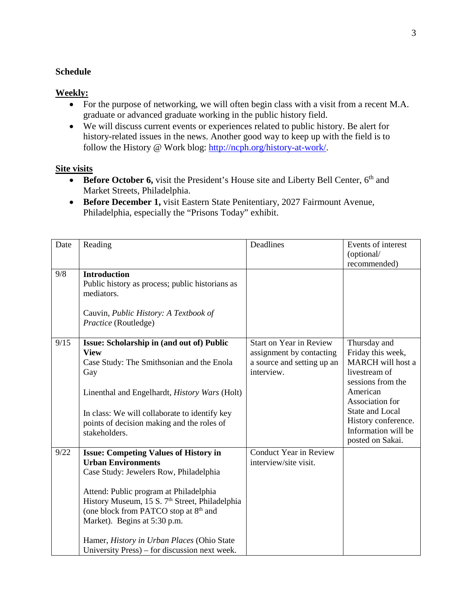## **Schedule**

## **Weekly:**

- For the purpose of networking, we will often begin class with a visit from a recent M.A. graduate or advanced graduate working in the public history field.
- We will discuss current events or experiences related to public history. Be alert for history-related issues in the news. Another good way to keep up with the field is to follow the History @ Work blog: [http://ncph.org/history-at-work/.](http://ncph.org/history-at-work/)

## **Site visits**

- **Before October 6,** visit the President's House site and Liberty Bell Center, 6<sup>th</sup> and Market Streets, Philadelphia.
- **Before December 1,** visit Eastern State Penitentiary, 2027 Fairmount Avenue, Philadelphia, especially the "Prisons Today" exhibit.

| Date | Reading                                                                                                                                                                                                                                                                                                                                                                                                         | Deadlines                                                                                              | Events of interest<br>(optional/<br>recommended)                                                                                                                                                                               |
|------|-----------------------------------------------------------------------------------------------------------------------------------------------------------------------------------------------------------------------------------------------------------------------------------------------------------------------------------------------------------------------------------------------------------------|--------------------------------------------------------------------------------------------------------|--------------------------------------------------------------------------------------------------------------------------------------------------------------------------------------------------------------------------------|
| 9/8  | <b>Introduction</b><br>Public history as process; public historians as<br>mediators.<br>Cauvin, Public History: A Textbook of<br>Practice (Routledge)                                                                                                                                                                                                                                                           |                                                                                                        |                                                                                                                                                                                                                                |
| 9/15 | Issue: Scholarship in (and out of) Public<br><b>View</b><br>Case Study: The Smithsonian and the Enola<br>Gay<br>Linenthal and Engelhardt, History Wars (Holt)<br>In class: We will collaborate to identify key<br>points of decision making and the roles of<br>stakeholders.                                                                                                                                   | <b>Start on Year in Review</b><br>assignment by contacting<br>a source and setting up an<br>interview. | Thursday and<br>Friday this week,<br><b>MARCH</b> will host a<br>livestream of<br>sessions from the<br>American<br>Association for<br><b>State and Local</b><br>History conference.<br>Information will be<br>posted on Sakai. |
| 9/22 | <b>Issue: Competing Values of History in</b><br><b>Urban Environments</b><br>Case Study: Jewelers Row, Philadelphia<br>Attend: Public program at Philadelphia<br>History Museum, 15 S. 7 <sup>th</sup> Street, Philadelphia<br>(one block from PATCO stop at 8 <sup>th</sup> and<br>Market). Begins at 5:30 p.m.<br>Hamer, History in Urban Places (Ohio State<br>University Press) – for discussion next week. | Conduct Year in Review<br>interview/site visit.                                                        |                                                                                                                                                                                                                                |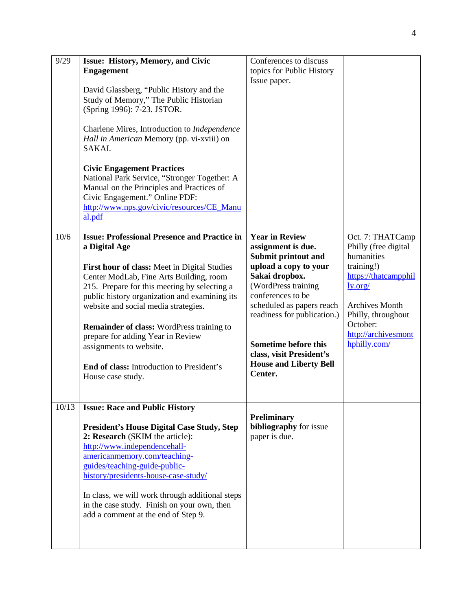| 9/29  | <b>Issue: History, Memory, and Civic</b><br><b>Engagement</b><br>David Glassberg, "Public History and the<br>Study of Memory," The Public Historian<br>(Spring 1996): 7-23. JSTOR.<br>Charlene Mires, Introduction to Independence<br>Hall in American Memory (pp. vi-xviii) on<br>SAKAI.<br><b>Civic Engagement Practices</b><br>National Park Service, "Stronger Together: A<br>Manual on the Principles and Practices of<br>Civic Engagement." Online PDF:<br>http://www.nps.gov/civic/resources/CE_Manu     | Conferences to discuss<br>topics for Public History<br>Issue paper.                                                                                                                                                                                                                                                   |                                                                                                                                                                                                           |
|-------|-----------------------------------------------------------------------------------------------------------------------------------------------------------------------------------------------------------------------------------------------------------------------------------------------------------------------------------------------------------------------------------------------------------------------------------------------------------------------------------------------------------------|-----------------------------------------------------------------------------------------------------------------------------------------------------------------------------------------------------------------------------------------------------------------------------------------------------------------------|-----------------------------------------------------------------------------------------------------------------------------------------------------------------------------------------------------------|
| 10/6  | al.pdf<br><b>Issue: Professional Presence and Practice in</b><br>a Digital Age<br>First hour of class: Meet in Digital Studies<br>Center ModLab, Fine Arts Building, room<br>215. Prepare for this meeting by selecting a<br>public history organization and examining its<br>website and social media strategies.<br><b>Remainder of class:</b> WordPress training to<br>prepare for adding Year in Review<br>assignments to website.<br><b>End of class:</b> Introduction to President's<br>House case study. | <b>Year in Review</b><br>assignment is due.<br>Submit printout and<br>upload a copy to your<br>Sakai dropbox.<br>(WordPress training<br>conferences to be<br>scheduled as papers reach<br>readiness for publication.)<br>Sometime before this<br>class, visit President's<br><b>House and Liberty Bell</b><br>Center. | Oct. 7: THATCamp<br>Philly (free digital<br>humanities<br>training!)<br>https://thatcampphil<br>ly.org/<br><b>Archives Month</b><br>Philly, throughout<br>October:<br>http://archivesmont<br>hphilly.com/ |
| 10/13 | <b>Issue: Race and Public History</b><br><b>President's House Digital Case Study, Step</b><br>2: Research (SKIM the article):<br>http://www.independencehall-<br>americanmemory.com/teaching-<br>guides/teaching-guide-public-<br>history/presidents-house-case-study/<br>In class, we will work through additional steps<br>in the case study. Finish on your own, then<br>add a comment at the end of Step 9.                                                                                                 | <b>Preliminary</b><br>bibliography for issue<br>paper is due.                                                                                                                                                                                                                                                         |                                                                                                                                                                                                           |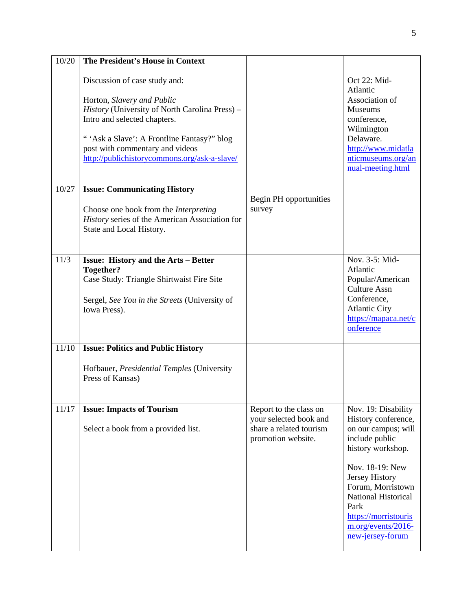| The President's House in Context                                                                                                                                                                                                                                               |                                                                                                   |                                                                                                                                                                                                                                                                     |
|--------------------------------------------------------------------------------------------------------------------------------------------------------------------------------------------------------------------------------------------------------------------------------|---------------------------------------------------------------------------------------------------|---------------------------------------------------------------------------------------------------------------------------------------------------------------------------------------------------------------------------------------------------------------------|
| Discussion of case study and:<br>Horton, Slavery and Public<br>History (University of North Carolina Press) -<br>Intro and selected chapters.<br>"'Ask a Slave': A Frontline Fantasy?" blog<br>post with commentary and videos<br>http://publichistorycommons.org/ask-a-slave/ |                                                                                                   | Oct 22: Mid-<br>Atlantic<br>Association of<br><b>Museums</b><br>conference,<br>Wilmington<br>Delaware.<br>http://www.midatla<br>nticmuseums.org/an<br>nual-meeting.html                                                                                             |
| <b>Issue: Communicating History</b><br>Choose one book from the <i>Interpreting</i><br>History series of the American Association for<br>State and Local History.                                                                                                              | Begin PH opportunities<br>survey                                                                  |                                                                                                                                                                                                                                                                     |
| <b>Issue: History and the Arts - Better</b><br>Together?<br>Case Study: Triangle Shirtwaist Fire Site<br>Sergel, See You in the Streets (University of<br>Iowa Press).                                                                                                         |                                                                                                   | Nov. 3-5: Mid-<br>Atlantic<br>Popular/American<br><b>Culture Assn</b><br>Conference,<br><b>Atlantic City</b><br>https://mapaca.net/c<br>onference                                                                                                                   |
| <b>Issue: Politics and Public History</b><br>Hofbauer, Presidential Temples (University<br>Press of Kansas)                                                                                                                                                                    |                                                                                                   |                                                                                                                                                                                                                                                                     |
|                                                                                                                                                                                                                                                                                |                                                                                                   |                                                                                                                                                                                                                                                                     |
| <b>Issue: Impacts of Tourism</b><br>Select a book from a provided list.                                                                                                                                                                                                        | Report to the class on<br>your selected book and<br>share a related tourism<br>promotion website. | Nov. 19: Disability<br>History conference,<br>on our campus; will<br>include public<br>history workshop.<br>Nov. 18-19: New<br>Jersey History<br>Forum, Morristown<br>National Historical<br>Park<br>https://morristouris<br>m.org/events/2016-<br>new-jersey-forum |
|                                                                                                                                                                                                                                                                                |                                                                                                   |                                                                                                                                                                                                                                                                     |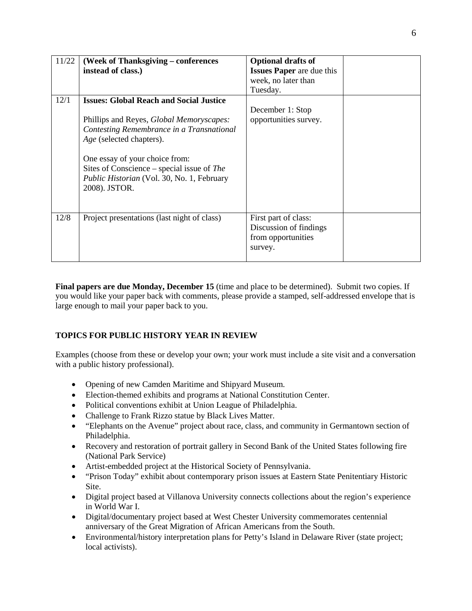| 11/22 | (Week of Thanksgiving – conferences              | <b>Optional drafts of</b>        |  |
|-------|--------------------------------------------------|----------------------------------|--|
|       | instead of class.)                               | <b>Issues Paper</b> are due this |  |
|       |                                                  | week, no later than              |  |
|       |                                                  | Tuesday.                         |  |
| 12/1  | <b>Issues: Global Reach and Social Justice</b>   |                                  |  |
|       |                                                  | December 1: Stop                 |  |
|       | Phillips and Reyes, <i>Global Memoryscapes</i> : | opportunities survey.            |  |
|       | Contesting Remembrance in a Transnational        |                                  |  |
|       | Age (selected chapters).                         |                                  |  |
|       |                                                  |                                  |  |
|       | One essay of your choice from:                   |                                  |  |
|       | Sites of Conscience – special issue of The       |                                  |  |
|       | Public Historian (Vol. 30, No. 1, February       |                                  |  |
|       | 2008). JSTOR.                                    |                                  |  |
|       |                                                  |                                  |  |
|       |                                                  |                                  |  |
| 12/8  | Project presentations (last night of class)      | First part of class:             |  |
|       |                                                  | Discussion of findings           |  |
|       |                                                  | from opportunities               |  |
|       |                                                  | survey.                          |  |
|       |                                                  |                                  |  |

**Final papers are due Monday, December 15** (time and place to be determined). Submit two copies. If you would like your paper back with comments, please provide a stamped, self-addressed envelope that is large enough to mail your paper back to you.

# **TOPICS FOR PUBLIC HISTORY YEAR IN REVIEW**

Examples (choose from these or develop your own; your work must include a site visit and a conversation with a public history professional).

- Opening of new Camden Maritime and Shipyard Museum.
- Election-themed exhibits and programs at National Constitution Center.
- Political conventions exhibit at Union League of Philadelphia.
- Challenge to Frank Rizzo statue by Black Lives Matter.
- "Elephants on the Avenue" project about race, class, and community in Germantown section of Philadelphia.
- Recovery and restoration of portrait gallery in Second Bank of the United States following fire (National Park Service)
- Artist-embedded project at the Historical Society of Pennsylvania.
- "Prison Today" exhibit about contemporary prison issues at Eastern State Penitentiary Historic Site.
- Digital project based at Villanova University connects collections about the region's experience in World War I.
- Digital/documentary project based at West Chester University commemorates centennial anniversary of the Great Migration of African Americans from the South.
- Environmental/history interpretation plans for Petty's Island in Delaware River (state project; local activists).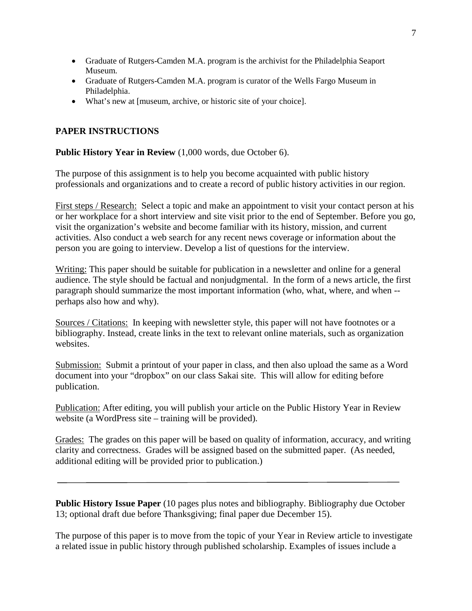- Graduate of Rutgers-Camden M.A. program is the archivist for the Philadelphia Seaport Museum.
- Graduate of Rutgers-Camden M.A. program is curator of the Wells Fargo Museum in Philadelphia.
- What's new at [museum, archive, or historic site of your choice].

# **PAPER INSTRUCTIONS**

### **Public History Year in Review** (1,000 words, due October 6).

The purpose of this assignment is to help you become acquainted with public history professionals and organizations and to create a record of public history activities in our region.

First steps / Research: Select a topic and make an appointment to visit your contact person at his or her workplace for a short interview and site visit prior to the end of September. Before you go, visit the organization's website and become familiar with its history, mission, and current activities. Also conduct a web search for any recent news coverage or information about the person you are going to interview. Develop a list of questions for the interview.

Writing: This paper should be suitable for publication in a newsletter and online for a general audience. The style should be factual and nonjudgmental. In the form of a news article, the first paragraph should summarize the most important information (who, what, where, and when - perhaps also how and why).

Sources / Citations: In keeping with newsletter style, this paper will not have footnotes or a bibliography. Instead, create links in the text to relevant online materials, such as organization websites.

Submission: Submit a printout of your paper in class, and then also upload the same as a Word document into your "dropbox" on our class Sakai site. This will allow for editing before publication.

Publication: After editing, you will publish your article on the Public History Year in Review website (a WordPress site – training will be provided).

Grades: The grades on this paper will be based on quality of information, accuracy, and writing clarity and correctness. Grades will be assigned based on the submitted paper. (As needed, additional editing will be provided prior to publication.)

**Public History Issue Paper** (10 pages plus notes and bibliography. Bibliography due October 13; optional draft due before Thanksgiving; final paper due December 15).

The purpose of this paper is to move from the topic of your Year in Review article to investigate a related issue in public history through published scholarship. Examples of issues include a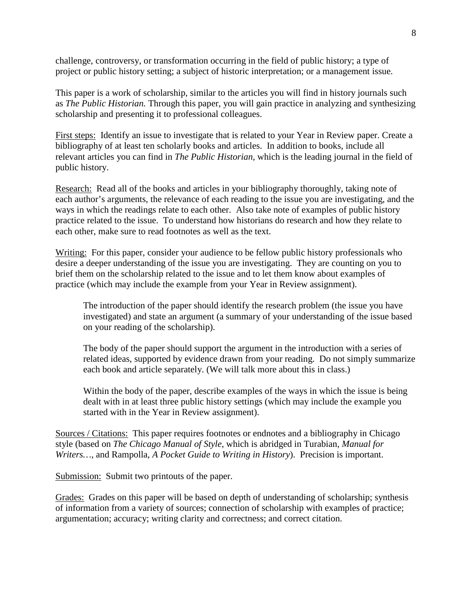challenge, controversy, or transformation occurring in the field of public history; a type of project or public history setting; a subject of historic interpretation; or a management issue.

This paper is a work of scholarship, similar to the articles you will find in history journals such as *The Public Historian.* Through this paper, you will gain practice in analyzing and synthesizing scholarship and presenting it to professional colleagues.

First steps: Identify an issue to investigate that is related to your Year in Review paper. Create a bibliography of at least ten scholarly books and articles. In addition to books, include all relevant articles you can find in *The Public Historian*, which is the leading journal in the field of public history.

Research: Read all of the books and articles in your bibliography thoroughly, taking note of each author's arguments, the relevance of each reading to the issue you are investigating, and the ways in which the readings relate to each other. Also take note of examples of public history practice related to the issue. To understand how historians do research and how they relate to each other, make sure to read footnotes as well as the text.

Writing: For this paper, consider your audience to be fellow public history professionals who desire a deeper understanding of the issue you are investigating. They are counting on you to brief them on the scholarship related to the issue and to let them know about examples of practice (which may include the example from your Year in Review assignment).

The introduction of the paper should identify the research problem (the issue you have investigated) and state an argument (a summary of your understanding of the issue based on your reading of the scholarship).

The body of the paper should support the argument in the introduction with a series of related ideas, supported by evidence drawn from your reading. Do not simply summarize each book and article separately. (We will talk more about this in class.)

Within the body of the paper, describe examples of the ways in which the issue is being dealt with in at least three public history settings (which may include the example you started with in the Year in Review assignment).

Sources / Citations: This paper requires footnotes or endnotes and a bibliography in Chicago style (based on *The Chicago Manual of Style*, which is abridged in Turabian, *Manual for Writers…,* and Rampolla, *A Pocket Guide to Writing in History*). Precision is important.

Submission: Submit two printouts of the paper.

Grades: Grades on this paper will be based on depth of understanding of scholarship; synthesis of information from a variety of sources; connection of scholarship with examples of practice; argumentation; accuracy; writing clarity and correctness; and correct citation.